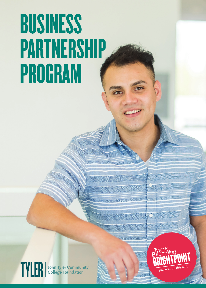## **BUSINESS PARTNERSHIP PROGRAM**



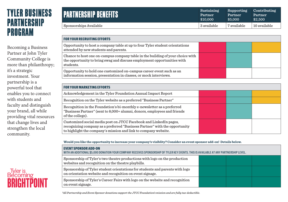### **TYLER BUSINESS PARTNERSHIP PROGRAM**

Becoming a Business Partner at John Tyler Community College is more than philanthropy; it's a strategic investment. Your partnership is a powerful tool that enables you to connect with students and faculty and distinguish your brand, all while providing vital resources that change lives and strengthen the local community.

Tyler is<br>Becoming

**RRIGHTP** 

| <b>PARTNERSHIP BENEFITS</b> | Sustaining  | Supporting     | Contributing |
|-----------------------------|-------------|----------------|--------------|
|                             | Partner     | <b>Partner</b> | Partner      |
|                             | \$10,000    | \$5,000        | \$2,500      |
| Sponsorships Available      | 3 available | 7 available    | 10 available |

| <b>FOR YOUR RECRUITING EFFORTS</b>                                                                                                                                                                                 |  |  |
|--------------------------------------------------------------------------------------------------------------------------------------------------------------------------------------------------------------------|--|--|
| Opportunity to host a company table at up to four Tyler student orientations<br>attended by new students and parents.                                                                                              |  |  |
| Chance to host one on-campus company table in the building of your choice with<br>the opportunity to bring swag and discuss employment opportunities with<br>students.                                             |  |  |
| Opportunity to hold one customized on-campus career event such as an<br>information session, presentation in classes, or mock interviews.                                                                          |  |  |
|                                                                                                                                                                                                                    |  |  |
| <b>FOR YOUR MARKETING EFFORTS</b>                                                                                                                                                                                  |  |  |
| Acknowledgement in the Tyler Foundation Annual Impact Report                                                                                                                                                       |  |  |
| Recognition on the Tyler website as a preferred "Business Partner"                                                                                                                                                 |  |  |
| Recognition in the Foundation's bi-monthly e-newsletter as a preferred<br>"Business Partner" (sent to 8,000+ alumni, donors, employees and friends<br>of the college).                                             |  |  |
| Customized social media post on JTCC Facebook and LinkedIn pages,<br>recognizing company as a preferred "Business Partner" with the opportunity<br>to highlight the company's mission and link to company website. |  |  |

**Would you like the opportunity to increase your company's visiblity? Consider an event sponsor add-on! Details below.** 

| <b>EVENT SPONSOR ADD-ON</b><br>WITH AN ADDITIONAL \$5,000 DONATION YOUR COMPANY RECEIVES SPONSORSHIP OF TYLER KEY EVENTS. THIS IS AVAILABLE AT ANY PARTNERSHIP LEVEL. |  |  |  |  |
|-----------------------------------------------------------------------------------------------------------------------------------------------------------------------|--|--|--|--|
| Sponsorship of Tyler's two theatre productions with logo on the production<br>websites and recognition on the theatre playbills.                                      |  |  |  |  |
| Sponsorship of Tyler student orientations for students and parents with logo<br>on orientation website and recognition on event signage.                              |  |  |  |  |
| Sponsorship of Tyler's Career Fairs with logo on the website and recognition<br>on event signage.                                                                     |  |  |  |  |

*\*All Partnership and Event Sponsor donations support the JTCC Foundation's mission and are fully tax-deductible.*